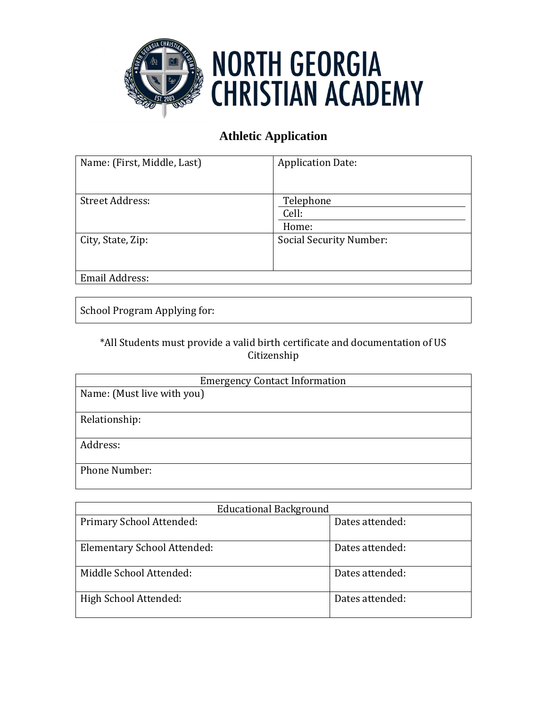

## **NORTH GEORGIA CHRISTIAN ACADEMY**

## **Athletic Application**

| Name: (First, Middle, Last) | <b>Application Date:</b>       |
|-----------------------------|--------------------------------|
| <b>Street Address:</b>      | Telephone<br>Cell:<br>Home:    |
| City, State, Zip:           | <b>Social Security Number:</b> |
| Email Address:              |                                |

School Program Applying for:

\*All Students must provide a valid birth certificate and documentation of US Citizenship

| <b>Emergency Contact Information</b> |  |
|--------------------------------------|--|
| Name: (Must live with you)           |  |
|                                      |  |
| Relationship:                        |  |
|                                      |  |
| Address:                             |  |
|                                      |  |
| Phone Number:                        |  |
|                                      |  |

| <b>Educational Background</b> |                 |  |
|-------------------------------|-----------------|--|
| Primary School Attended:      | Dates attended: |  |
| Elementary School Attended:   | Dates attended: |  |
| Middle School Attended:       | Dates attended: |  |
| High School Attended:         | Dates attended: |  |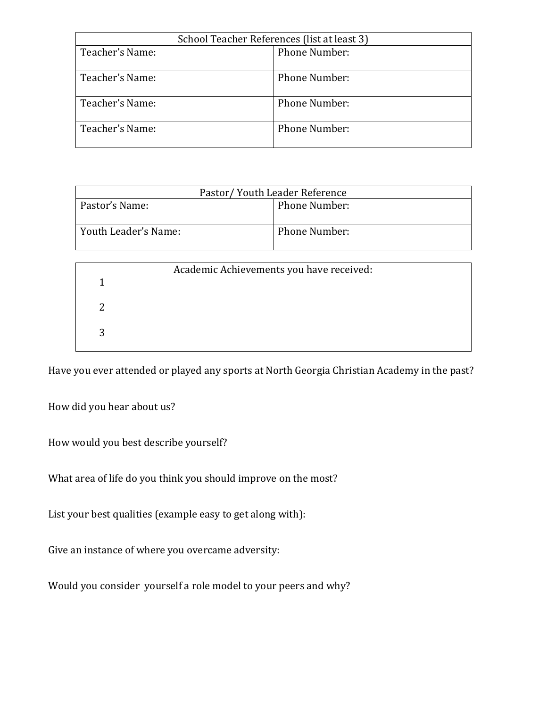| School Teacher References (list at least 3) |                      |  |
|---------------------------------------------|----------------------|--|
| Teacher's Name:                             | Phone Number:        |  |
| Teacher's Name:                             | <b>Phone Number:</b> |  |
| Teacher's Name:                             | Phone Number:        |  |
| Teacher's Name:                             | <b>Phone Number:</b> |  |

| Pastor/ Youth Leader Reference |                      |  |
|--------------------------------|----------------------|--|
| Pastor's Name:                 | <b>Phone Number:</b> |  |
| Youth Leader's Name:           | <b>Phone Number:</b> |  |
|                                |                      |  |

| Academic Achievements you have received: |  |  |
|------------------------------------------|--|--|
|                                          |  |  |
|                                          |  |  |
|                                          |  |  |
|                                          |  |  |
|                                          |  |  |
|                                          |  |  |

Have you ever attended or played any sports at North Georgia Christian Academy in the past?

How did you hear about us?

How would you best describe yourself?

What area of life do you think you should improve on the most?

List your best qualities (example easy to get along with):

Give an instance of where you overcame adversity:

Would you consider yourself a role model to your peers and why?